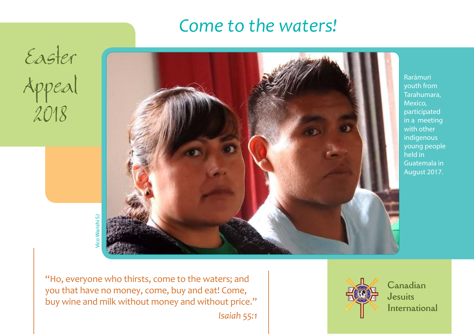# *Come to the waters!*

Easter Appeal 2018



Rarámuri youth from Tarahumara, Mexico, participated in a meeting with other indigenous young people held in Guatemala in August 2017.

Vico Warishi SJ co Warishi S.

"Ho, everyone who thirsts, come to the waters; and you that have no money, come, buy and eat! Come, buy wine and milk without money and without price."

*Isaiah 55:1*



**Canadian Jesuits International**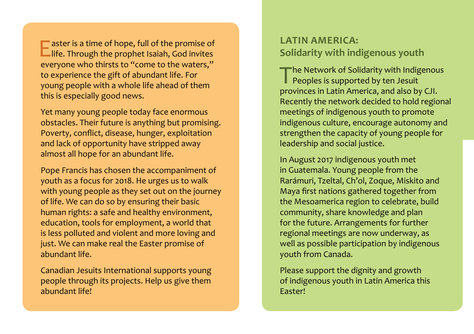**LATIN AMERICA:**<br>
Life. Through the prophet Isaiah, God invites<br>
Solidarity with indigenous youth<br>
Solidarity with indigenous youth aster is a time of hope, full of the promise of everyone who thirsts to "come to the waters," to experience the gift of abundant life. For young people with a whole life ahead of them this is especially good news.

Yet many young people today face enormous obstacles. Their future is anything but promising. Poverty, conflict, disease, hunger, exploitation and lack of opportunity have stripped away almost all hope for an abundant life.

Pope Francis has chosen the accompaniment of youth as a focus for 2018. He urges us to walk with young people as they set out on the journey of life. We can do so by ensuring their basic human rights: a safe and healthy environment, education, tools for employment, a world that is less polluted and violent and more loving and just. We can make real the Easter promise of abundant life.

Canadian Jesuits International supports young people through its projects. Help us give them abundant life!

The Network of Solidarity with Indigenous<br>Peoples is supported by ten Jesuit Peoples is supported by ten Jesuit provinces in Latin America, and also by CJI. Recently the network decided to hold regional meetings of indigenous youth to promote indigenous culture, encourage autonomy and strengthen the capacity of young people for leadership and social justice.

In August 2017 indigenous youth met in Guatemala. Young people from the Rarámuri, Tzeltal, Ch'ol, Zoque, Miskito and Maya first nations gathered together from the Mesoamerica region to celebrate, build community, share knowledge and plan for the future. Arrangements for further regional meetings are now underway, as well as possible participation by indigenous youth from Canada.

Please support the dignity and growth of indigenous youth in Latin America this Easter!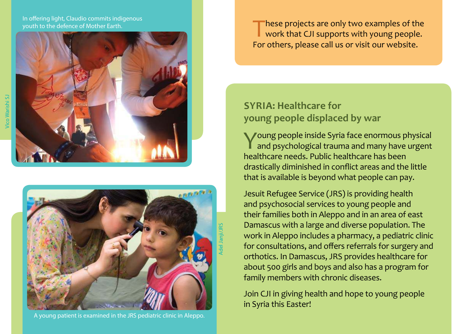In offering light, Claudio commits indigenous





A young patient is examined in the JRS pediatric clinic in Aleppo.

These projects are only two examples of the work that CJI supports with young people<br>For others, please call us or visit our website. hese projects are only two examples of the work that CJI supports with young people.

### **SYRIA: Healthcare for young people displaced by war**

Young people inside Syria face enormous physical<br>and psychological trauma and many have urgent and psychological trauma and many have urgent healthcare needs. Public healthcare has been drastically diminished in conflict areas and the little that is available is beyond what people can pay.

Jesuit Refugee Service (JRS) is providing health and psychosocial services to young people and their families both in Aleppo and in an area of east Damascus with a large and diverse population. The work in Aleppo includes a pharmacy, a pediatric clinic for consultations, and offers referrals for surgery and orthotics. In Damascus, JRS provides healthcare for about 500 girls and boys and also has a program for family members with chronic diseases.

Join CJI in giving health and hope to young people in Syria this Easter!